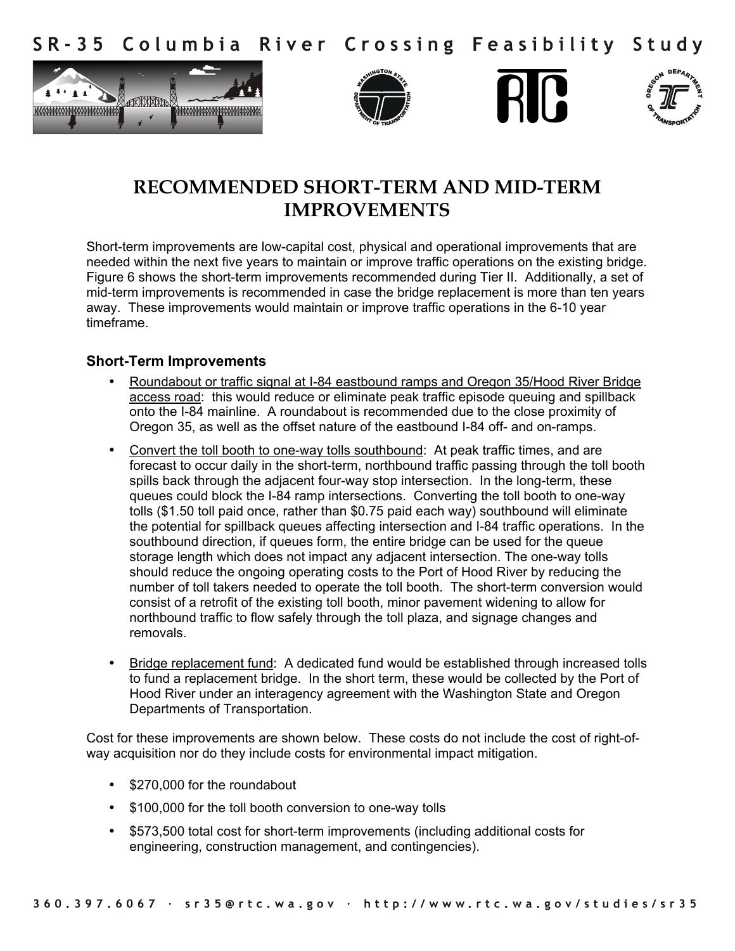Columbia River Crossing Feasibility Study  $S$  R – 3.5









## **RECOMMENDED SHORT-TERM AND MID-TERM IMPROVEMENTS**

Short-term improvements are low-capital cost, physical and operational improvements that are needed within the next five years to maintain or improve traffic operations on the existing bridge. Figure 6 shows the short-term improvements recommended during Tier II. Additionally, a set of mid-term improvements is recommended in case the bridge replacement is more than ten years away. These improvements would maintain or improve traffic operations in the 6-10 year timeframe.

## **Short-Term Improvements**

- Roundabout or traffic signal at I-84 eastbound ramps and Oregon 35/Hood River Bridge access road: this would reduce or eliminate peak traffic episode queuing and spillback onto the I-84 mainline. A roundabout is recommended due to the close proximity of Oregon 35, as well as the offset nature of the eastbound I-84 off- and on-ramps.
- Convert the toll booth to one-way tolls southbound: At peak traffic times, and are forecast to occur daily in the short-term, northbound traffic passing through the toll booth spills back through the adjacent four-way stop intersection. In the long-term, these queues could block the I-84 ramp intersections. Converting the toll booth to one-way tolls (\$1.50 toll paid once, rather than \$0.75 paid each way) southbound will eliminate the potential for spillback queues affecting intersection and I-84 traffic operations. In the southbound direction, if queues form, the entire bridge can be used for the queue storage length which does not impact any adjacent intersection. The one-way tolls should reduce the ongoing operating costs to the Port of Hood River by reducing the number of toll takers needed to operate the toll booth. The short-term conversion would consist of a retrofit of the existing toll booth, minor pavement widening to allow for northbound traffic to flow safely through the toll plaza, and signage changes and removals.
- Bridge replacement fund: A dedicated fund would be established through increased tolls to fund a replacement bridge. In the short term, these would be collected by the Port of Hood River under an interagency agreement with the Washington State and Oregon Departments of Transportation.

Cost for these improvements are shown below. These costs do not include the cost of right-ofway acquisition nor do they include costs for environmental impact mitigation.

- \$270,000 for the roundabout
- \$100,000 for the toll booth conversion to one-way tolls
- \$573,500 total cost for short-term improvements (including additional costs for engineering, construction management, and contingencies).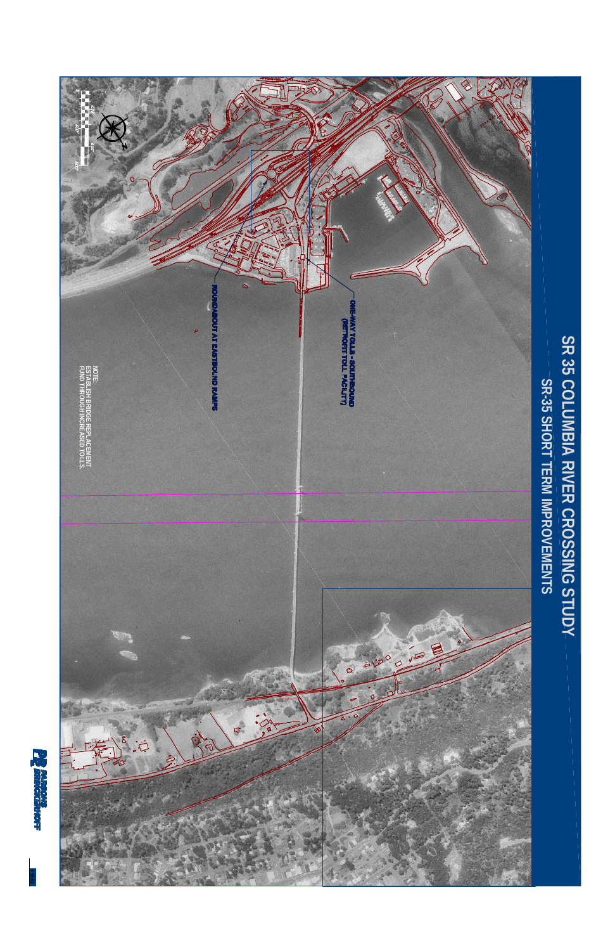